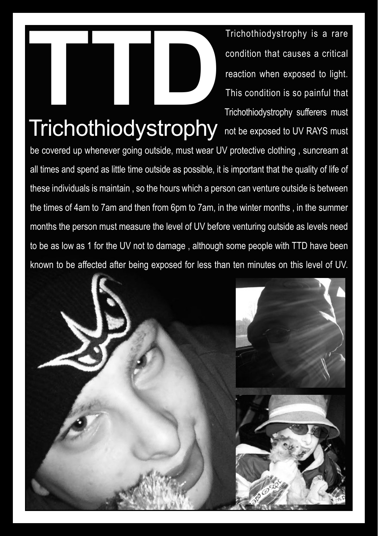Trichothiodystrophy is a rare<br>condition that causes a critical<br>reaction when exposed to light.<br>This condition is so painful that<br>Trichothiodystrophy sufferers must condition that causes a critical reaction when exposed to light. This condition is so painful that Trichothiodystrophy sufferers must

## Trichothiodystrophy not be exposed to UV RAYS must

be covered up whenever going outside, must wear UV protective clothing , suncream at all times and spend as little time outside as possible, it is important that the quality of life of these individuals is maintain , so the hours which a person can venture outside is between the times of 4am to 7am and then from 6pm to 7am, in the winter months , in the summer months the person must measure the level of UV before venturing outside as levels need to be as low as 1 for the UV not to damage , although some people with TTD have been known to be affected after being exposed for less than ten minutes on this level of UV.